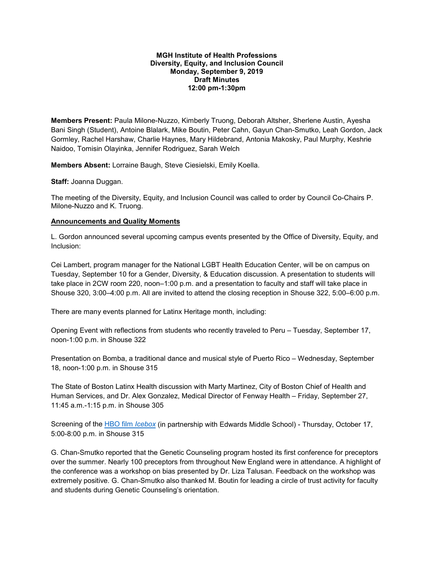#### **MGH Institute of Health Professions Diversity, Equity, and Inclusion Council Monday, September 9, 2019 Draft Minutes 12:00 pm-1:30pm**

**Members Present:** Paula Milone-Nuzzo, Kimberly Truong, Deborah Altsher, Sherlene Austin, Ayesha Bani Singh (Student), Antoine Blalark, Mike Boutin, Peter Cahn, Gayun Chan-Smutko, Leah Gordon, Jack Gormley, Rachel Harshaw, Charlie Haynes, Mary Hildebrand, Antonia Makosky, Paul Murphy, Keshrie Naidoo, Tomisin Olayinka, Jennifer Rodriguez, Sarah Welch

**Members Absent:** Lorraine Baugh, Steve Ciesielski, Emily Koella.

**Staff:** Joanna Duggan.

The meeting of the Diversity, Equity, and Inclusion Council was called to order by Council Co-Chairs P. Milone-Nuzzo and K. Truong.

### **Announcements and Quality Moments**

L. Gordon announced several upcoming campus events presented by the Office of Diversity, Equity, and Inclusion:

Cei Lambert, program manager for the National LGBT Health Education Center, will be on campus on Tuesday, September 10 for a Gender, Diversity, & Education discussion. A presentation to students will take place in 2CW room 220, noon–1:00 p.m. and a presentation to faculty and staff will take place in Shouse 320, 3:00–4:00 p.m. All are invited to attend the closing reception in Shouse 322, 5:00–6:00 p.m.

There are many events planned for Latinx Heritage month, including:

Opening Event with reflections from students who recently traveled to Peru – Tuesday, September 17, noon-1:00 p.m. in Shouse 322

Presentation on Bomba, a traditional dance and musical style of Puerto Rico – Wednesday, September 18, noon-1:00 p.m. in Shouse 315

The State of Boston Latinx Health discussion with Marty Martinez, City of Boston Chief of Health and Human Services, and Dr. Alex Gonzalez, Medical Director of Fenway Health – Friday, September 27, 11:45 a.m.-1:15 p.m. in Shouse 305

Screening of the [HBO film](https://t.e2ma.net/click/6edlzb/aqgmse/qi15kj) *Icebox* (in partnership with Edwards Middle School) - Thursday, October 17, 5:00-8:00 p.m. in Shouse 315

G. Chan-Smutko reported that the Genetic Counseling program hosted its first conference for preceptors over the summer. Nearly 100 preceptors from throughout New England were in attendance. A highlight of the conference was a workshop on bias presented by Dr. Liza Talusan. Feedback on the workshop was extremely positive. G. Chan-Smutko also thanked M. Boutin for leading a circle of trust activity for faculty and students during Genetic Counseling's orientation.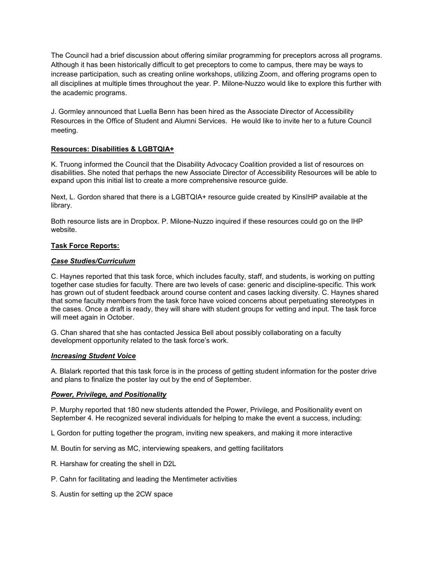The Council had a brief discussion about offering similar programming for preceptors across all programs. Although it has been historically difficult to get preceptors to come to campus, there may be ways to increase participation, such as creating online workshops, utilizing Zoom, and offering programs open to all disciplines at multiple times throughout the year. P. Milone-Nuzzo would like to explore this further with the academic programs.

J. Gormley announced that Luella Benn has been hired as the Associate Director of Accessibility Resources in the Office of Student and Alumni Services. He would like to invite her to a future Council meeting.

## **Resources: Disabilities & LGBTQIA+**

K. Truong informed the Council that the Disability Advocacy Coalition provided a list of resources on disabilities. She noted that perhaps the new Associate Director of Accessibility Resources will be able to expand upon this initial list to create a more comprehensive resource guide.

Next, L. Gordon shared that there is a LGBTQIA+ resource guide created by KinsIHP available at the library.

Both resource lists are in Dropbox. P. Milone-Nuzzo inquired if these resources could go on the IHP website.

# **Task Force Reports:**

## *Case Studies/Curriculum*

C. Haynes reported that this task force, which includes faculty, staff, and students, is working on putting together case studies for faculty. There are two levels of case: generic and discipline-specific. This work has grown out of student feedback around course content and cases lacking diversity. C. Haynes shared that some faculty members from the task force have voiced concerns about perpetuating stereotypes in the cases. Once a draft is ready, they will share with student groups for vetting and input. The task force will meet again in October.

G. Chan shared that she has contacted Jessica Bell about possibly collaborating on a faculty development opportunity related to the task force's work.

#### *Increasing Student Voice*

A. Blalark reported that this task force is in the process of getting student information for the poster drive and plans to finalize the poster lay out by the end of September.

## *Power, Privilege, and Positionality*

P. Murphy reported that 180 new students attended the Power, Privilege, and Positionality event on September 4. He recognized several individuals for helping to make the event a success, including:

L Gordon for putting together the program, inviting new speakers, and making it more interactive

- M. Boutin for serving as MC, interviewing speakers, and getting facilitators
- R. Harshaw for creating the shell in D2L
- P. Cahn for facilitating and leading the Mentimeter activities
- S. Austin for setting up the 2CW space